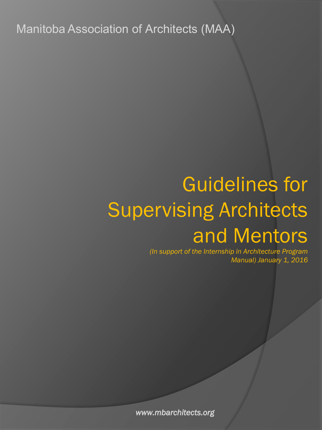Manitoba Association of Architects (MAA)

# Guidelines for Supervising Architects and Mentors

*(In support of the Internship in Architecture Program Manual) January 1, 2016* 

*www.mbarchitects.org*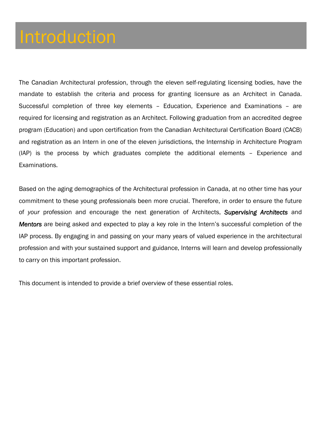### Introduction

The Canadian Architectural profession, through the eleven self-regulating licensing bodies, have the mandate to establish the criteria and process for granting licensure as an Architect in Canada. Successful completion of three key elements – Education, Experience and Examinations – are required for licensing and registration as an Architect. Following graduation from an accredited degree program (Education) and upon certification from the Canadian Architectural Certification Board (CACB) and registration as an Intern in one of the eleven jurisdictions, the Internship in Architecture Program (IAP) is the process by which graduates complete the additional elements – Experience and Examinations.

Based on the aging demographics of the Architectural profession in Canada, at no other time has your commitment to these young professionals been more crucial. Therefore, in order to ensure the future of *your* profession and encourage the next generation of Architects, *Supervising Architects* and *Mentors* are being asked and expected to play a key role in the Intern's successful completion of the IAP process. By engaging in and passing on your many years of valued experience in the architectural profession and with your sustained support and guidance, Interns will learn and develop professionally to carry on this important profession.

This document is intended to provide a brief overview of these essential roles.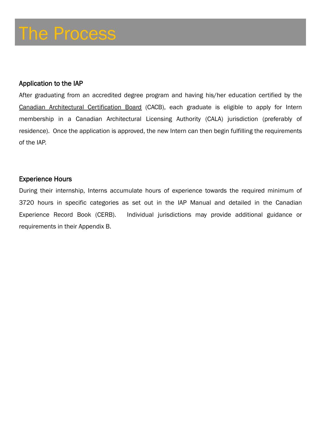#### Application to the IAP

After graduating from an accredited degree program and having his/her education certified by the Canadian Architectural Certification Board (CACB), each graduate is eligible to apply for Intern membership in a Canadian Architectural Licensing Authority (CALA) jurisdiction (preferably of residence). Once the application is approved, the new Intern can then begin fulfilling the requirements of the IAP.

#### Experience Hours

During their internship, Interns accumulate hours of experience towards the required minimum of 3720 hours in specific categories as set out in the IAP Manual and detailed in the Canadian Experience Record Book (CERB). Individual jurisdictions may provide additional guidance or requirements in their Appendix B.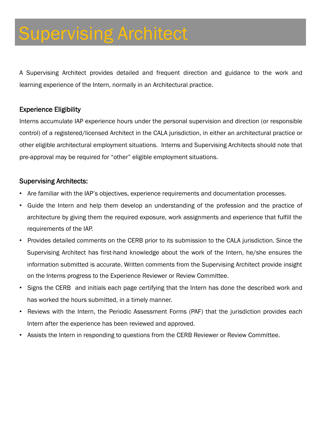A Supervising Architect provides detailed and frequent direction and guidance to the work and learning experience of the Intern, normally in an Architectural practice.

#### Experience Eligibility

Interns accumulate IAP experience hours under the personal supervision and direction (or responsible control) of a registered/licensed Architect in the CALA jurisdiction, in either an architectural practice or other eligible architectural employment situations. Interns and Supervising Architects should note that pre-approval may be required for "other" eligible employment situations.

#### Supervising Architects:

- Are familiar with the IAP's objectives, experience requirements and documentation processes.
- Guide the Intern and help them develop an understanding of the profession and the practice of architecture by giving them the required exposure, work assignments and experience that fulfill the requirements of the IAP.
- Provides detailed comments on the CERB prior to its submission to the CALA jurisdiction. Since the Supervising Architect has first-hand knowledge about the work of the Intern, he/she ensures the information submitted is accurate. Written comments from the Supervising Architect provide insight on the Interns progress to the Experience Reviewer or Review Committee.
- Signs the CERB and initials each page certifying that the Intern has done the described work and has worked the hours submitted, in a timely manner.
- Reviews with the Intern, the Periodic Assessment Forms (PAF) that the jurisdiction provides each Intern after the experience has been reviewed and approved.
- Assists the Intern in responding to questions from the CERB Reviewer or Review Committee.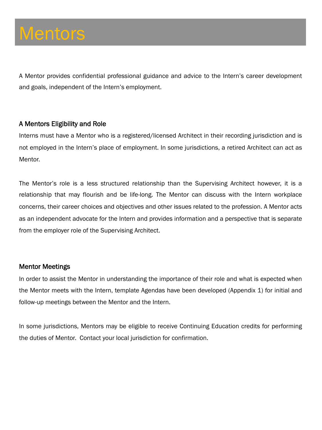## **Mentors**

A Mentor provides confidential professional guidance and advice to the Intern's career development and goals, independent of the Intern's employment.

#### A Mentors Eligibility and Role

Interns must have a Mentor who is a registered/licensed Architect in their recording jurisdiction and is not employed in the Intern's place of employment. In some jurisdictions, a retired Architect can act as Mentor.

The Mentor's role is a less structured relationship than the Supervising Architect however, it is a relationship that may flourish and be life-long. The Mentor can discuss with the Intern workplace concerns, their career choices and objectives and other issues related to the profession. A Mentor acts as an independent advocate for the Intern and provides information and a perspective that is separate from the employer role of the Supervising Architect.

#### Mentor Meetings

In order to assist the Mentor in understanding the importance of their role and what is expected when the Mentor meets with the Intern, template Agendas have been developed (Appendix 1) for initial and follow-up meetings between the Mentor and the Intern.

In some jurisdictions, Mentors may be eligible to receive Continuing Education credits for performing the duties of Mentor. Contact your local jurisdiction for confirmation.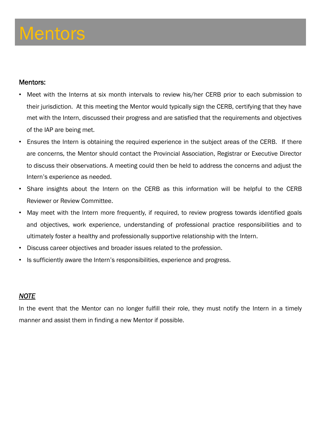### **Mentors**

#### Mentors:

- Meet with the Interns at six month intervals to review his/her CERB prior to each submission to their jurisdiction. At this meeting the Mentor would typically sign the CERB, certifying that they have met with the Intern, discussed their progress and are satisfied that the requirements and objectives of the IAP are being met.
- Ensures the Intern is obtaining the required experience in the subject areas of the CERB. If there are concerns, the Mentor should contact the Provincial Association, Registrar or Executive Director to discuss their observations. A meeting could then be held to address the concerns and adjust the Intern's experience as needed.
- Share insights about the Intern on the CERB as this information will be helpful to the CERB Reviewer or Review Committee.
- May meet with the Intern more frequently, if required, to review progress towards identified goals and objectives, work experience, understanding of professional practice responsibilities and to ultimately foster a healthy and professionally supportive relationship with the Intern.
- Discuss career objectives and broader issues related to the profession.
- Is sufficiently aware the Intern's responsibilities, experience and progress.

#### *NOTE*

In the event that the Mentor can no longer fulfill their role, they must notify the Intern in a timely manner and assist them in finding a new Mentor if possible.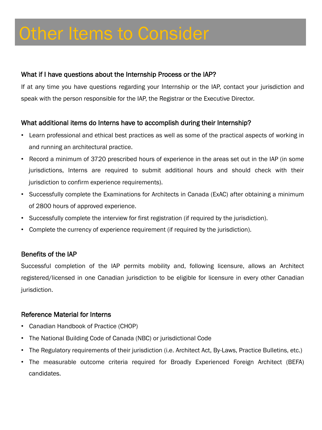#### What if I have questions about the Internship Process or the IAP?

If at any time you have questions regarding your Internship or the IAP, contact your jurisdiction and speak with the person responsible for the IAP, the Registrar or the Executive Director.

#### What additional items do Interns have to accomplish during their Internship?

- Learn professional and ethical best practices as well as some of the practical aspects of working in and running an architectural practice.
- Record a minimum of 3720 prescribed hours of experience in the areas set out in the IAP (in some jurisdictions, Interns are required to submit additional hours and should check with their jurisdiction to confirm experience requirements).
- Successfully complete the Examinations for Architects in Canada (ExAC) after obtaining a minimum of 2800 hours of approved experience.
- Successfully complete the interview for first registration (if required by the jurisdiction).
- Complete the currency of experience requirement (if required by the jurisdiction).

#### Benefits of the IAP

Successful completion of the IAP permits mobility and, following licensure, allows an Architect registered/licensed in one Canadian jurisdiction to be eligible for licensure in every other Canadian jurisdiction.

#### Reference Material for Interns

- Canadian Handbook of Practice (CHOP)
- The National Building Code of Canada (NBC) or jurisdictional Code
- The Regulatory requirements of their jurisdiction (i.e. Architect Act, By-Laws, Practice Bulletins, etc.)
- The measurable outcome criteria required for Broadly Experienced Foreign Architect (BEFA) candidates.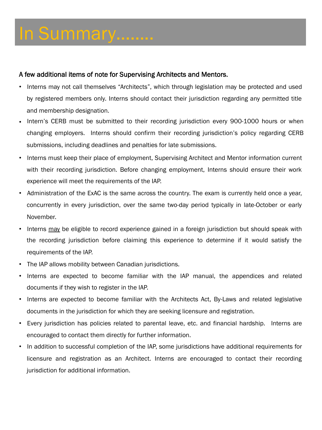# In Summary……..

#### A few additional items of note for Supervising Architects and Mentors.

- Interns may not call themselves "Architects", which through legislation may be protected and used by registered members only. Interns should contact their jurisdiction regarding any permitted title and membership designation.
- Intern's CERB must be submitted to their recording jurisdiction every 900-1000 hours or when changing employers. Interns should confirm their recording jurisdiction's policy regarding CERB submissions, including deadlines and penalties for late submissions.
- Interns must keep their place of employment, Supervising Architect and Mentor information current with their recording jurisdiction. Before changing employment, Interns should ensure their work experience will meet the requirements of the IAP.
- Administration of the ExAC is the same across the country. The exam is currently held once a year, concurrently in every jurisdiction, over the same two-day period typically in late-October or early November.
- Interns may be eligible to record experience gained in a foreign jurisdiction but should speak with the recording jurisdiction before claiming this experience to determine if it would satisfy the requirements of the IAP.
- The IAP allows mobility between Canadian jurisdictions.
- Interns are expected to become familiar with the IAP manual, the appendices and related documents if they wish to register in the IAP.
- Interns are expected to become familiar with the Architects Act, By-Laws and related legislative documents in the jurisdiction for which they are seeking licensure and registration.
- Every jurisdiction has policies related to parental leave, etc. and financial hardship. Interns are encouraged to contact them directly for further information.
- In addition to successful completion of the IAP, some jurisdictions have additional requirements for licensure and registration as an Architect. Interns are encouraged to contact their recording jurisdiction for additional information.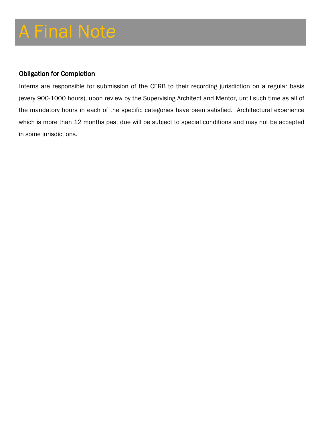#### Obligation for Completion

Interns are responsible for submission of the CERB to their recording jurisdiction on a regular basis (every 900-1000 hours), upon review by the Supervising Architect and Mentor, until such time as all of the mandatory hours in each of the specific categories have been satisfied. Architectural experience which is more than 12 months past due will be subject to special conditions and may not be accepted in some jurisdictions.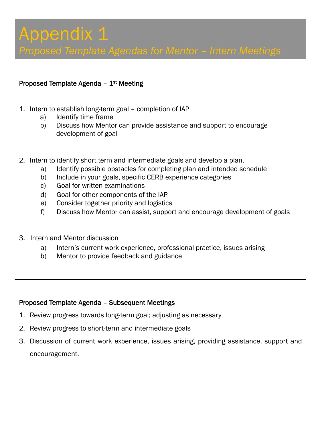*Proposed Template Agendas for Mentor – Intern Meetings* 

#### Proposed Template Agenda  $-1<sup>st</sup>$  Meeting

- 1. Intern to establish long-term goal completion of IAP
	- a) Identify time frame
	- b) Discuss how Mentor can provide assistance and support to encourage development of goal
- 2. Intern to identify short term and intermediate goals and develop a plan.
	- a) Identify possible obstacles for completing plan and intended schedule
	- b) Include in your goals, specific CERB experience categories
	- c) Goal for written examinations
	- d) Goal for other components of the IAP
	- e) Consider together priority and logistics
	- f) Discuss how Mentor can assist, support and encourage development of goals
- 3. Intern and Mentor discussion
	- a) Intern's current work experience, professional practice, issues arising
	- b) Mentor to provide feedback and guidance

#### Proposed Template Agenda – Subsequent Meetings

- 1. Review progress towards long-term goal; adjusting as necessary
- 2. Review progress to short-term and intermediate goals
- 3. Discussion of current work experience, issues arising, providing assistance, support and encouragement.